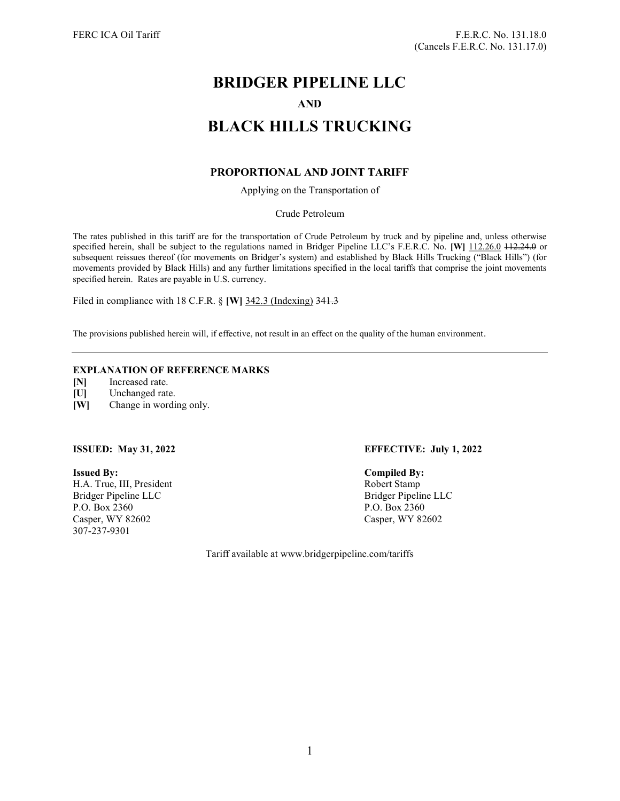# BRIDGER PIPELINE LLC AND BLACK HILLS TRUCKING

# PROPORTIONAL AND JOINT TARIFF

Applying on the Transportation of

Crude Petroleum

The rates published in this tariff are for the transportation of Crude Petroleum by truck and by pipeline and, unless otherwise specified herein, shall be subject to the regulations named in Bridger Pipeline LLC's F.E.R.C. No. [W] 112.26.0 112.24.0 or subsequent reissues thereof (for movements on Bridger's system) and established by Black Hills Trucking ("Black Hills") (for movements provided by Black Hills) and any further limitations specified in the local tariffs that comprise the joint movements specified herein. Rates are payable in U.S. currency.

Filed in compliance with 18 C.F.R. § [W] 342.3 (Indexing) 341.3

The provisions published herein will, if effective, not result in an effect on the quality of the human environment.

# EXPLANATION OF REFERENCE MARKS

[N] Increased rate.

[U] Unchanged rate.

[W] Change in wording only.

Issued By: Compiled By: H.A. True, III, President Robert Stamp Bridger Pipeline LLC Bridger Pipeline LLC P.O. Box 2360 P.O. Box 2360 Casper, WY 82602 Casper, WY 82602 307-237-9301

# ISSUED: May 31, 2022 EFFECTIVE: July 1, 2022

Tariff available at www.bridgerpipeline.com/tariffs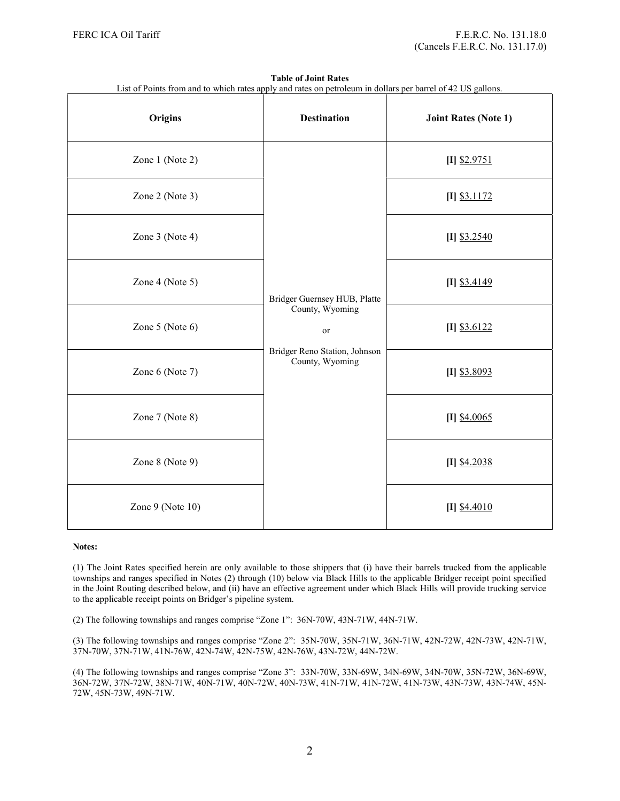| List of Points from and to which rates apply and rates on petroleum in dollars per barrel of 42 US gallons. |                                                                                                           |                             |
|-------------------------------------------------------------------------------------------------------------|-----------------------------------------------------------------------------------------------------------|-----------------------------|
| <b>Origins</b>                                                                                              | <b>Destination</b>                                                                                        | <b>Joint Rates (Note 1)</b> |
| Zone 1 (Note 2)                                                                                             | Bridger Guernsey HUB, Platte<br>County, Wyoming<br>or<br>Bridger Reno Station, Johnson<br>County, Wyoming | $[I]$ \$2.9751              |
| Zone 2 (Note 3)                                                                                             |                                                                                                           | $[I]$ \$3.1172              |
| Zone 3 (Note 4)                                                                                             |                                                                                                           | $[I]$ \$3.2540              |
| Zone 4 (Note 5)                                                                                             |                                                                                                           | $[I]$ \$3.4149              |
| Zone 5 (Note 6)                                                                                             |                                                                                                           | $[I]$ \$3.6122              |
| Zone 6 (Note 7)                                                                                             |                                                                                                           | [I] \$3.8093                |
| Zone 7 (Note 8)                                                                                             |                                                                                                           | $[I]$ \$4.0065              |
| Zone 8 (Note 9)                                                                                             |                                                                                                           | $[I]$ \$4.2038              |
| Zone 9 (Note 10)                                                                                            |                                                                                                           | $[I]$ \$4.4010              |

Table of Joint Rates

#### Notes:

(1) The Joint Rates specified herein are only available to those shippers that (i) have their barrels trucked from the applicable townships and ranges specified in Notes (2) through (10) below via Black Hills to the applicable Bridger receipt point specified in the Joint Routing described below, and (ii) have an effective agreement under which Black Hills will provide trucking service to the applicable receipt points on Bridger's pipeline system.

(2) The following townships and ranges comprise "Zone 1": 36N-70W, 43N-71W, 44N-71W.

(3) The following townships and ranges comprise "Zone 2": 35N-70W, 35N-71W, 36N-71W, 42N-72W, 42N-73W, 42N-71W, 37N-70W, 37N-71W, 41N-76W, 42N-74W, 42N-75W, 42N-76W, 43N-72W, 44N-72W.

(4) The following townships and ranges comprise "Zone 3": 33N-70W, 33N-69W, 34N-69W, 34N-70W, 35N-72W, 36N-69W, 36N-72W, 37N-72W, 38N-71W, 40N-71W, 40N-72W, 40N-73W, 41N-71W, 41N-72W, 41N-73W, 43N-73W, 43N-74W, 45N-72W, 45N-73W, 49N-71W.